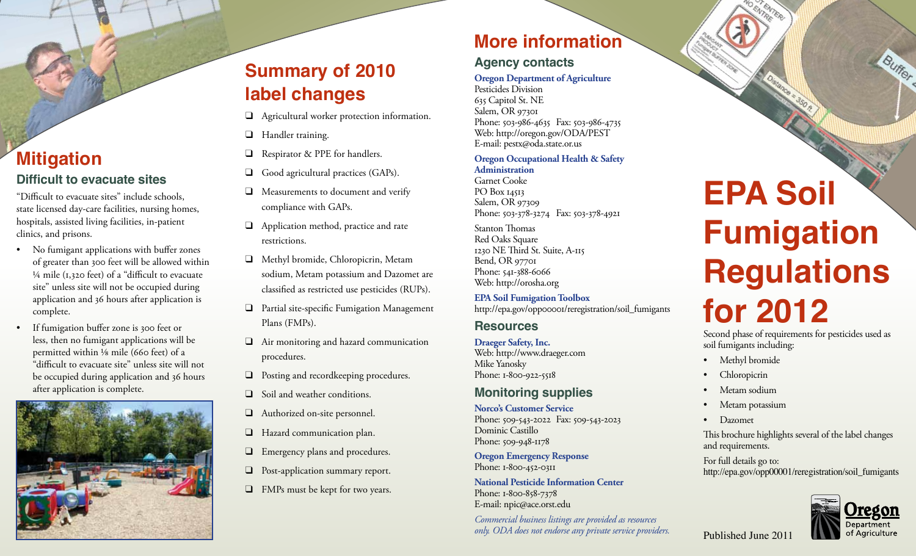# **Mitigation Difficult to evacuate sites**

"Difficult to evacuate sites" include schools, state licensed day-care facilities, nursing homes, hospitals, assisted living facilities, in-patient clinics, and prisons.

- • No fumigant applications with buffer zones of greater than 300 feet will be allowed within  $\frac{1}{4}$  mile (1,320 feet) of a "difficult to evacuate site" unless site will not be occupied during application and 36 hours after application is complete.
- • If fumigation buffer zone is 300 feet or less, then no fumigant applications will be permitted within ⅛ mile (660 feet) of a "difficult to evacuate site" unless site will not be occupied during application and 36 hours after application is complete.



# **Summary of 2010 label changes**

- ❑ Agricultural worker protection information.
- ❑ Handler training.
- ❑ Respirator & PPE for handlers.
- ❑ Good agricultural practices (GAPs).
- ❑ Measurements to document and verify compliance with GAPs.
- ❑ Application method, practice and rate restrictions.
- ❑ Methyl bromide, Chloropicrin, Metam sodium, Metam potassium and Dazomet are classified as restricted use pesticides (RUPs).
- ❑ Partial site-specific Fumigation Management Plans (FMPs).
- ❑ Air monitoring and hazard communication procedures.
- ❑ Posting and recordkeeping procedures.
- ❑ Soil and weather conditions.
- ❑ Authorized on-site personnel.
- □ Hazard communication plan.
- ❑ Emergency plans and procedures.
- ❑ Post-application summary report.
- ❑ FMPs must be kept for two years.

# **More information**

## **Agency contacts**

#### **Oregon Department of Agriculture**

Pesticides Division 635 Capitol St. NE Salem, OR 97301 Phone: 503-986-4635 Fax: 503-986-4735 Web: http://oregon.gov/ODA/PEST E-mail: pestx@oda.state.or.us

#### **Oregon Occupational Health & Safety Administration**

Garnet Cooke PO Box 14513 Salem, OR 97309 Phone: 503-378-3274 Fax: 503-378-4921

Stanton Thomas Red Oaks Square 1230 NE Third St. Suite, A-115 Bend, OR 97701 Phone: 541-388-6066 Web: http://orosha.org

**EPA Soil Fumigation Toolbox** http://epa.gov/opp00001/reregistration/soil\_fumigants

#### **Resources**

**Draeger Safety, Inc.** Web: http://www.draeger.com Mike Yanosky Phone: 1-800-922-5518

#### **Monitoring supplies**

**Norco's Customer Service** Phone: 509-543-2022 Fax: 509-543-2023 Dominic Castillo Phone: 509-948-1178

**Oregon Emergency Response** Phone: 1-800-452-0311

**National Pesticide Information Center** Phone: 1-800-858-7378 E-mail: npic@ace.orst.edu

*Commercial business listings are provided as resources only. ODA does not endorse any private service providers.*

# **EPA Soil Fumigation Regulations for 2012**

Second phase of requirements for pesticides used as soil fumigants including:

- Methyl bromide
- Chloropicrin
- Metam sodium
- Metam potassium
- Dazomet

This brochure highlights several of the label changes and requirements.

For full details go to: http://epa.gov/opp00001/reregistration/soil\_fumigants



Buffer

Published June 2011